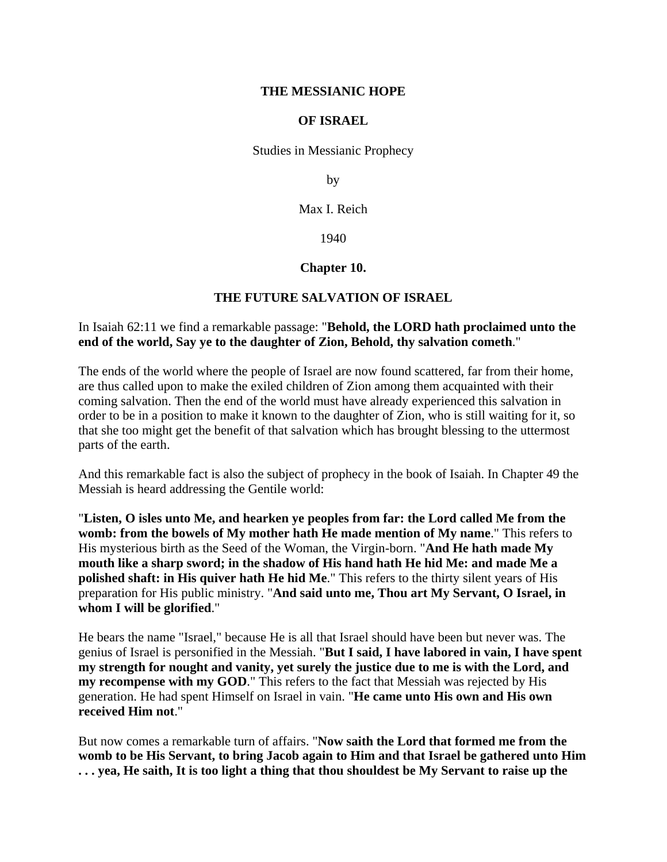### **THE MESSIANIC HOPE**

### **OF ISRAEL**

Studies in Messianic Prophecy

by

Max I. Reich

1940

# **Chapter 10.**

# **THE FUTURE SALVATION OF ISRAEL**

# In Isaiah 62:11 we find a remarkable passage: "**Behold, the LORD hath proclaimed unto the end of the world, Say ye to the daughter of Zion, Behold, thy salvation cometh**."

The ends of the world where the people of Israel are now found scattered, far from their home, are thus called upon to make the exiled children of Zion among them acquainted with their coming salvation. Then the end of the world must have already experienced this salvation in order to be in a position to make it known to the daughter of Zion, who is still waiting for it, so that she too might get the benefit of that salvation which has brought blessing to the uttermost parts of the earth.

And this remarkable fact is also the subject of prophecy in the book of Isaiah. In Chapter 49 the Messiah is heard addressing the Gentile world:

"**Listen, O isles unto Me, and hearken ye peoples from far: the Lord called Me from the womb: from the bowels of My mother hath He made mention of My name**." This refers to His mysterious birth as the Seed of the Woman, the Virgin-born. "**And He hath made My mouth like a sharp sword; in the shadow of His hand hath He hid Me: and made Me a polished shaft: in His quiver hath He hid Me**." This refers to the thirty silent years of His preparation for His public ministry. "**And said unto me, Thou art My Servant, O Israel, in whom I will be glorified**."

He bears the name "Israel," because He is all that Israel should have been but never was. The genius of Israel is personified in the Messiah. "**But I said, I have labored in vain, I have spent my strength for nought and vanity, yet surely the justice due to me is with the Lord, and my recompense with my GOD**." This refers to the fact that Messiah was rejected by His generation. He had spent Himself on Israel in vain. "**He came unto His own and His own received Him not**."

But now comes a remarkable turn of affairs. "**Now saith the Lord that formed me from the womb to be His Servant, to bring Jacob again to Him and that Israel be gathered unto Him . . . yea, He saith, It is too light a thing that thou shouldest be My Servant to raise up the**